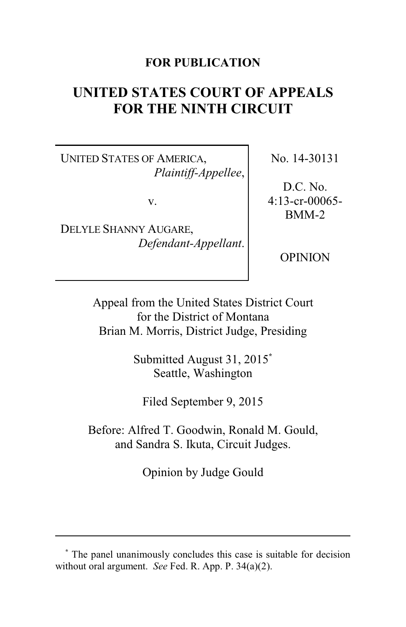### **FOR PUBLICATION**

# **UNITED STATES COURT OF APPEALS FOR THE NINTH CIRCUIT**

UNITED STATES OF AMERICA, *Plaintiff-Appellee*,

v.

DELYLE SHANNY AUGARE, *Defendant-Appellant*. No. 14-30131

D.C. No. 4:13-cr-00065- BMM-2

OPINION

Appeal from the United States District Court for the District of Montana Brian M. Morris, District Judge, Presiding

> Submitted August 31, 2015**\*** Seattle, Washington

Filed September 9, 2015

Before: Alfred T. Goodwin, Ronald M. Gould, and Sandra S. Ikuta, Circuit Judges.

Opinion by Judge Gould

**<sup>\*</sup>** The panel unanimously concludes this case is suitable for decision without oral argument. *See* Fed. R. App. P. 34(a)(2).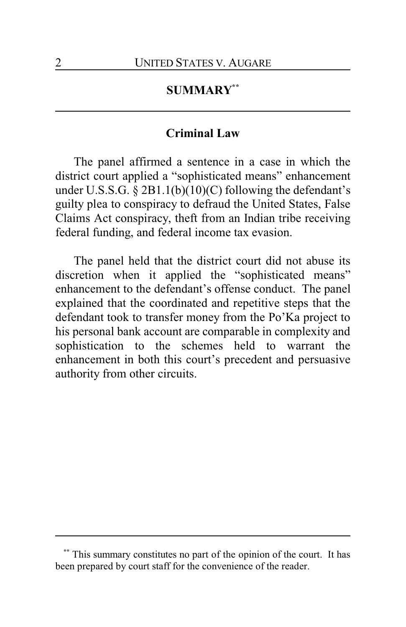## **SUMMARY\*\***

#### **Criminal Law**

The panel affirmed a sentence in a case in which the district court applied a "sophisticated means" enhancement under U.S.S.G. § 2B1.1(b)(10)(C) following the defendant's guilty plea to conspiracy to defraud the United States, False Claims Act conspiracy, theft from an Indian tribe receiving federal funding, and federal income tax evasion.

The panel held that the district court did not abuse its discretion when it applied the "sophisticated means" enhancement to the defendant's offense conduct. The panel explained that the coordinated and repetitive steps that the defendant took to transfer money from the Po'Ka project to his personal bank account are comparable in complexity and sophistication to the schemes held to warrant the enhancement in both this court's precedent and persuasive authority from other circuits.

This summary constitutes no part of the opinion of the court. It has been prepared by court staff for the convenience of the reader.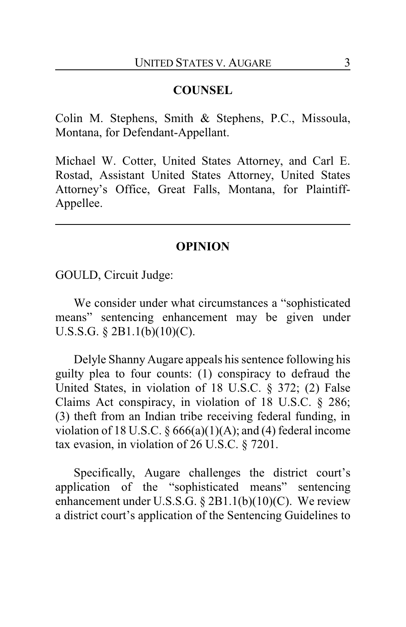#### **COUNSEL**

Colin M. Stephens, Smith & Stephens, P.C., Missoula, Montana, for Defendant-Appellant.

Michael W. Cotter, United States Attorney, and Carl E. Rostad, Assistant United States Attorney, United States Attorney's Office, Great Falls, Montana, for Plaintiff-Appellee.

#### **OPINION**

GOULD, Circuit Judge:

We consider under what circumstances a "sophisticated means" sentencing enhancement may be given under U.S.S.G. § 2B1.1(b)(10)(C).

Delyle Shanny Augare appeals his sentence following his guilty plea to four counts: (1) conspiracy to defraud the United States, in violation of 18 U.S.C. § 372; (2) False Claims Act conspiracy, in violation of 18 U.S.C. § 286; (3) theft from an Indian tribe receiving federal funding, in violation of 18 U.S.C.  $\S 666(a)(1)(A)$ ; and (4) federal income tax evasion, in violation of 26 U.S.C. § 7201.

Specifically, Augare challenges the district court's application of the "sophisticated means" sentencing enhancement under U.S.S.G. § 2B1.1(b)(10)(C). We review a district court's application of the Sentencing Guidelines to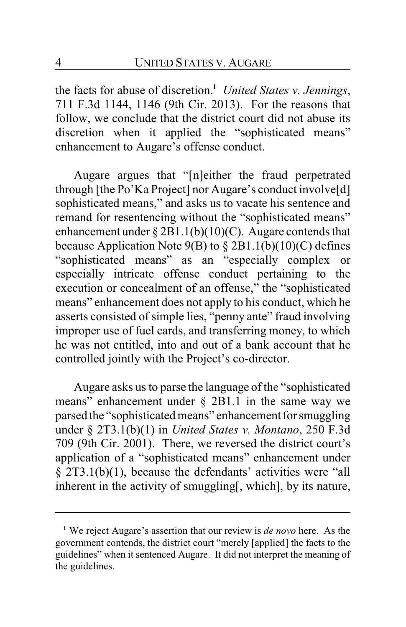the facts for abuse of discretion.**<sup>1</sup>** *United States v. Jennings*, 711 F.3d 1144, 1146 (9th Cir. 2013). For the reasons that follow, we conclude that the district court did not abuse its discretion when it applied the "sophisticated means" enhancement to Augare's offense conduct.

Augare argues that "[n]either the fraud perpetrated through [the Po'Ka Project] nor Augare's conduct involve[d] sophisticated means," and asks us to vacate his sentence and remand for resentencing without the "sophisticated means" enhancement under § 2B1.1(b)(10)(C). Augare contends that because Application Note  $9(B)$  to  $\S 2B1.1(b)(10)(C)$  defines "sophisticated means" as an "especially complex or especially intricate offense conduct pertaining to the execution or concealment of an offense," the "sophisticated means" enhancement does not apply to his conduct, which he asserts consisted of simple lies, "penny ante" fraud involving improper use of fuel cards, and transferring money, to which he was not entitled, into and out of a bank account that he controlled jointly with the Project's co-director.

Augare asks us to parse the language of the "sophisticated means" enhancement under § 2B1.1 in the same way we parsed the "sophisticated means" enhancement for smuggling under § 2T3.1(b)(1) in *United States v. Montano*, 250 F.3d 709 (9th Cir. 2001). There, we reversed the district court's application of a "sophisticated means" enhancement under § 2T3.1(b)(1), because the defendants' activities were "all inherent in the activity of smuggling[, which], by its nature,

**<sup>1</sup>** We reject Augare's assertion that our review is *de novo* here. As the government contends, the district court "merely [applied] the facts to the guidelines" when it sentenced Augare. It did not interpret the meaning of the guidelines.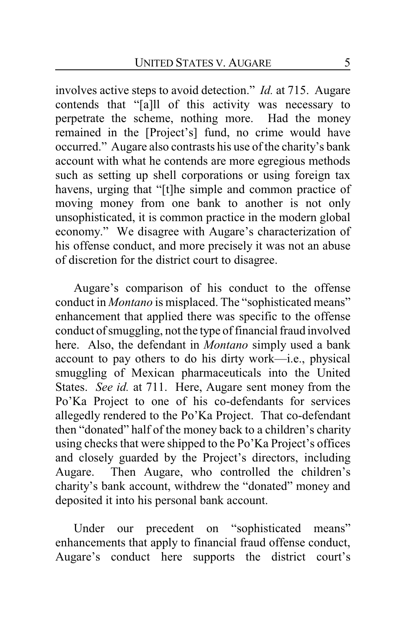involves active steps to avoid detection." *Id.* at 715. Augare contends that "[a]ll of this activity was necessary to perpetrate the scheme, nothing more. Had the money remained in the [Project's] fund, no crime would have occurred." Augare also contrasts his use of the charity's bank account with what he contends are more egregious methods such as setting up shell corporations or using foreign tax havens, urging that "[t]he simple and common practice of moving money from one bank to another is not only unsophisticated, it is common practice in the modern global economy." We disagree with Augare's characterization of his offense conduct, and more precisely it was not an abuse of discretion for the district court to disagree.

Augare's comparison of his conduct to the offense conduct in *Montano* is misplaced. The "sophisticated means" enhancement that applied there was specific to the offense conduct of smuggling, not the type of financial fraud involved here. Also, the defendant in *Montano* simply used a bank account to pay others to do his dirty work—i.e., physical smuggling of Mexican pharmaceuticals into the United States. *See id.* at 711. Here, Augare sent money from the Po'Ka Project to one of his co-defendants for services allegedly rendered to the Po'Ka Project. That co-defendant then "donated" half of the money back to a children's charity using checks that were shipped to the Po'Ka Project's offices and closely guarded by the Project's directors, including Augare. Then Augare, who controlled the children's charity's bank account, withdrew the "donated" money and deposited it into his personal bank account.

Under our precedent on "sophisticated means" enhancements that apply to financial fraud offense conduct, Augare's conduct here supports the district court's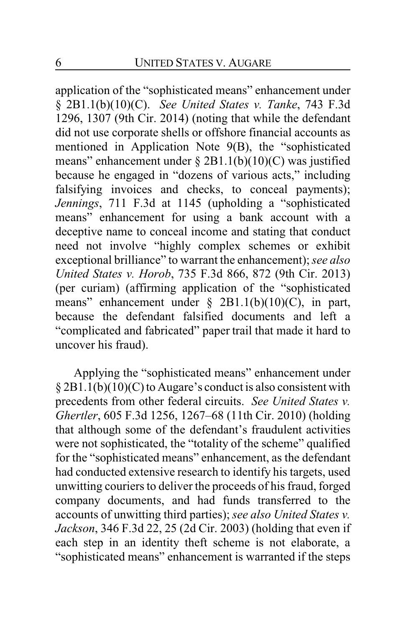application of the "sophisticated means" enhancement under § 2B1.1(b)(10)(C). *See United States v. Tanke*, 743 F.3d 1296, 1307 (9th Cir. 2014) (noting that while the defendant did not use corporate shells or offshore financial accounts as mentioned in Application Note 9(B), the "sophisticated means" enhancement under § 2B1.1(b)(10)(C) was justified because he engaged in "dozens of various acts," including falsifying invoices and checks, to conceal payments); *Jennings*, 711 F.3d at 1145 (upholding a "sophisticated means" enhancement for using a bank account with a deceptive name to conceal income and stating that conduct need not involve "highly complex schemes or exhibit exceptional brilliance" to warrant the enhancement); *see also United States v. Horob*, 735 F.3d 866, 872 (9th Cir. 2013) (per curiam) (affirming application of the "sophisticated means" enhancement under § 2B1.1(b)(10)(C), in part, because the defendant falsified documents and left a "complicated and fabricated" paper trail that made it hard to uncover his fraud).

Applying the "sophisticated means" enhancement under § 2B1.1(b)(10)(C) to Augare's conduct is also consistent with precedents from other federal circuits. *See United States v. Ghertler*, 605 F.3d 1256, 1267–68 (11th Cir. 2010) (holding that although some of the defendant's fraudulent activities were not sophisticated, the "totality of the scheme" qualified for the "sophisticated means" enhancement, as the defendant had conducted extensive research to identify his targets, used unwitting couriers to deliver the proceeds of his fraud, forged company documents, and had funds transferred to the accounts of unwitting third parties); *see also United States v. Jackson*, 346 F.3d 22, 25 (2d Cir. 2003) (holding that even if each step in an identity theft scheme is not elaborate, a "sophisticated means" enhancement is warranted if the steps